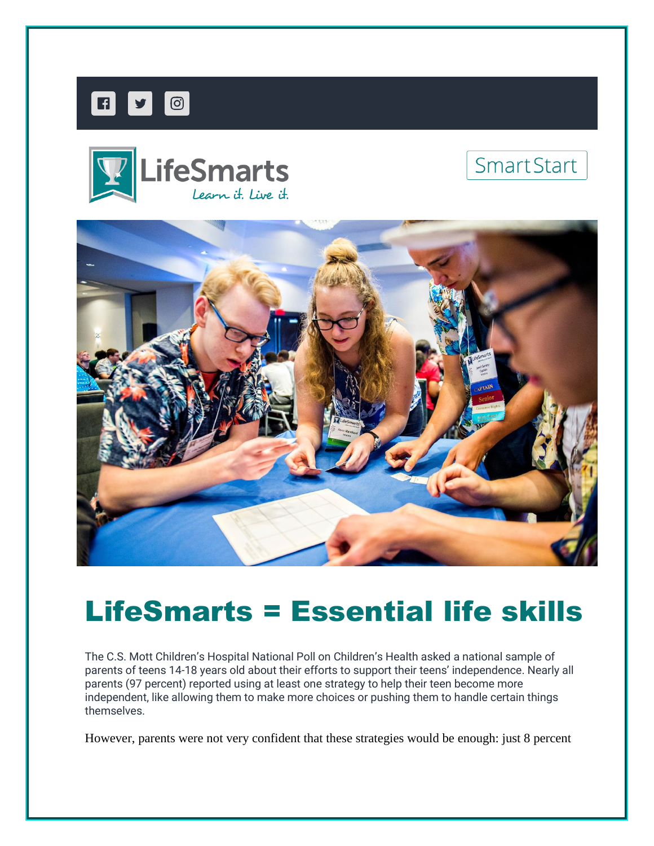







# LifeSmarts = Essential life skills

The C.S. Mott Children's Hospital National Poll on Children's Health asked a national sample of parents of teens 14-18 years old about their efforts to support their teens' independence. Nearly all parents (97 percent) reported using at least one strategy to help their teen become more independent, like allowing them to make more choices or pushing them to handle certain things themselves.

However, parents were not very confident that these strategies would be enough: just 8 percent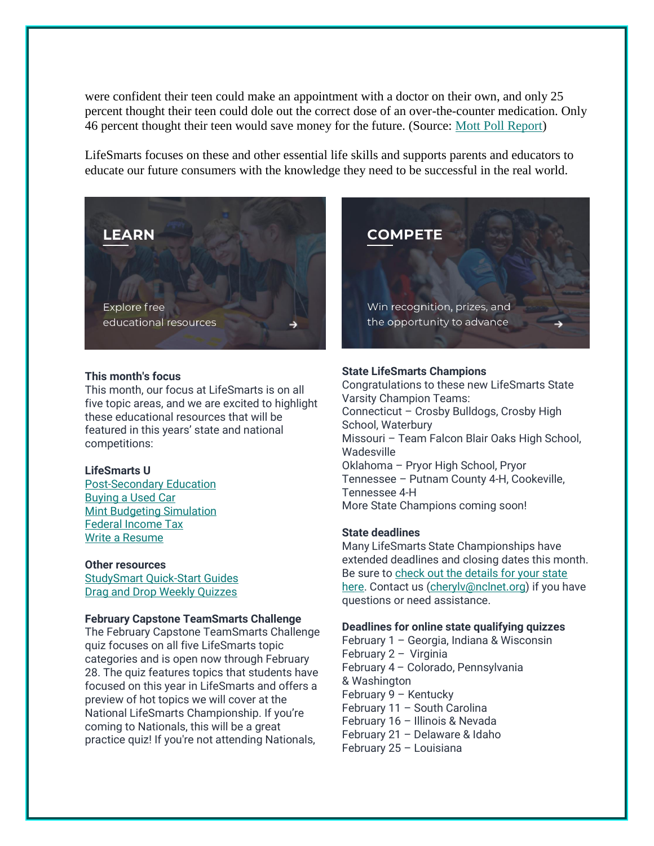were confident their teen could make an appointment with a doctor on their own, and only 25 percent thought their teen could dole out the correct dose of an over-the-counter medication. Only 46 percent thought their teen would save money for the future. (Source: [Mott Poll Report\)](https://nam12.safelinks.protection.outlook.com/?url=https%3A%2F%2Fncl.lt.acemlnb.com%2FProd%2Flink-tracker%3FredirectUrl%3DaHR0cHMlM0ElMkYlMkZtb3R0cG9sbC5vcmclMkZyZXBvcnRzJTJGcGFyZW50LWVmZm9ydHMtaW5zdWZmaWNpZW50LXByb21vdGUtdGVlbi1pbmRlcGVuZGVuY2U%3D%26sig%3DCEMd53SVTGrDqMxvvc9z1UsB652dHTEsKggpGNLgXCLN%26iat%3D1643729462%26a%3D%257C%257C650144105%257C%257C%26account%3Dncl.activehosted.com%26email%3DeYbL1xaVtEJR%252BpKpLRuB76yBgpvWDYICuRoV0Noifuk%253D%26s%3D710641c9b141b6cd453a904ecc82e258%26i%3D212A219A1A2669&data=04%7C01%7Ccherylv%40nclnet.org%7C84e2bb9202db40ceedd208d9e597e1a2%7C4e1d2f3fec00459892401b9071ab6582%7C1%7C1%7C637793262771261345%7CUnknown%7CTWFpbGZsb3d8eyJWIjoiMC4wLjAwMDAiLCJQIjoiV2luMzIiLCJBTiI6Ik1haWwiLCJXVCI6Mn0%3D%7C3000&sdata=8rGjO2lhTwTtOb6VYPlgbEv6NrLdw6vHeDMTnl8MlsQ%3D&reserved=0)

LifeSmarts focuses on these and other essential life skills and supports parents and educators to educate our future consumers with the knowledge they need to be successful in the real world.



# **This month's focus**

This month, our focus at LifeSmarts is on all five topic areas, and we are excited to highlight these educational resources that will be featured in this years' state and national competitions:

# **LifeSmarts U**

[Post-Secondary Education](https://nam12.safelinks.protection.outlook.com/?url=https%3A%2F%2Fncl.lt.acemlnb.com%2FProd%2Flink-tracker%3FredirectUrl%3DaHR0cHMlM0ElMkYlMkZsaWZlc21hcnRzdS5saWZlc21hcnRzLm9yZyUyRnBvc3Qtc2Vjb25kYXJ5LWVkdWNhdGlvbiUyRg%3D%3D%26sig%3DEqqaZVs6H4v3kbdVAXsGqvkB9A7xpSaBogkVFoBK7i48%26iat%3D1643729462%26a%3D%257C%257C650144105%257C%257C%26account%3Dncl.activehosted.com%26email%3DeYbL1xaVtEJR%252BpKpLRuB76yBgpvWDYICuRoV0Noifuk%253D%26s%3D710641c9b141b6cd453a904ecc82e258%26i%3D212A219A1A2670&data=04%7C01%7Ccherylv%40nclnet.org%7C84e2bb9202db40ceedd208d9e597e1a2%7C4e1d2f3fec00459892401b9071ab6582%7C1%7C1%7C637793262771261345%7CUnknown%7CTWFpbGZsb3d8eyJWIjoiMC4wLjAwMDAiLCJQIjoiV2luMzIiLCJBTiI6Ik1haWwiLCJXVCI6Mn0%3D%7C3000&sdata=Gw8T9L5K3cOjYeMpiXlrUg%2F96J%2F5uLvXCYpfOXSaRyw%3D&reserved=0) [Buying a Used Car](https://nam12.safelinks.protection.outlook.com/?url=https%3A%2F%2Fncl.lt.acemlnb.com%2FProd%2Flink-tracker%3FredirectUrl%3DaHR0cHMlM0ElMkYlMkZsaWZlc21hcnRzdS5saWZlc21hcnRzLm9yZyUyRmJ1eWluZy1hLXVzZWQtY2FyJTJG%26sig%3DEkK9ASiZdJb13DLsMHKrXMNUHWzqGBkd4W8jT2s59f7x%26iat%3D1643729462%26a%3D%257C%257C650144105%257C%257C%26account%3Dncl.activehosted.com%26email%3DeYbL1xaVtEJR%252BpKpLRuB76yBgpvWDYICuRoV0Noifuk%253D%26s%3D710641c9b141b6cd453a904ecc82e258%26i%3D212A219A1A2671&data=04%7C01%7Ccherylv%40nclnet.org%7C84e2bb9202db40ceedd208d9e597e1a2%7C4e1d2f3fec00459892401b9071ab6582%7C1%7C1%7C637793262771261345%7CUnknown%7CTWFpbGZsb3d8eyJWIjoiMC4wLjAwMDAiLCJQIjoiV2luMzIiLCJBTiI6Ik1haWwiLCJXVCI6Mn0%3D%7C3000&sdata=NBC8qC8%2BdB%2FWU2mHRo0ajfjjICMcTU6F2hNkCg6Z7Qc%3D&reserved=0) [Mint Budgeting Simulation](https://nam12.safelinks.protection.outlook.com/?url=https%3A%2F%2Fncl.lt.acemlnb.com%2FProd%2Flink-tracker%3FredirectUrl%3DaHR0cHMlM0ElMkYlMkZsaWZlc21hcnRzdS5saWZlc21hcnRzLm9yZyUyRm1pbnRfc2ltdWxhdGlvbiUyRg%3D%3D%26sig%3D9evxBWDBk93FKwYKEAJQZLgwDnJfZ8RvUUcU7i5Mm4Ds%26iat%3D1643729462%26a%3D%257C%257C650144105%257C%257C%26account%3Dncl.activehosted.com%26email%3DeYbL1xaVtEJR%252BpKpLRuB76yBgpvWDYICuRoV0Noifuk%253D%26s%3D710641c9b141b6cd453a904ecc82e258%26i%3D212A219A1A2672&data=04%7C01%7Ccherylv%40nclnet.org%7C84e2bb9202db40ceedd208d9e597e1a2%7C4e1d2f3fec00459892401b9071ab6582%7C1%7C1%7C637793262771261345%7CUnknown%7CTWFpbGZsb3d8eyJWIjoiMC4wLjAwMDAiLCJQIjoiV2luMzIiLCJBTiI6Ik1haWwiLCJXVCI6Mn0%3D%7C3000&sdata=AZ7Bs1VHpF3kqEqAbcK51jW8WpsmbactkM%2Bg%2BDBbu4s%3D&reserved=0) [Federal Income Tax](https://nam12.safelinks.protection.outlook.com/?url=https%3A%2F%2Fncl.lt.acemlnb.com%2FProd%2Flink-tracker%3FredirectUrl%3DaHR0cHMlM0ElMkYlMkZsaWZlc21hcnRzdS5saWZlc21hcnRzLm9yZyUyRmZlZGVyYWwtaW5jb21lLXRheC1sZXNzb24lMkZmZWRlcmFsX2luY29tZV90YXglMkY%3D%26sig%3D4tN3iE5pRp118wt8Tr87Pg3CXU8QxStbUJe8AWR8mfgs%26iat%3D1643729462%26a%3D%257C%257C650144105%257C%257C%26account%3Dncl.activehosted.com%26email%3DeYbL1xaVtEJR%252BpKpLRuB76yBgpvWDYICuRoV0Noifuk%253D%26s%3D710641c9b141b6cd453a904ecc82e258%26i%3D212A219A1A2673&data=04%7C01%7Ccherylv%40nclnet.org%7C84e2bb9202db40ceedd208d9e597e1a2%7C4e1d2f3fec00459892401b9071ab6582%7C1%7C1%7C637793262771261345%7CUnknown%7CTWFpbGZsb3d8eyJWIjoiMC4wLjAwMDAiLCJQIjoiV2luMzIiLCJBTiI6Ik1haWwiLCJXVCI6Mn0%3D%7C3000&sdata=eEYT5nljzuZwM0xcFpycYehrbX7LDAVYxMe9rHFTxqo%3D&reserved=0) [Write a Resume](https://nam12.safelinks.protection.outlook.com/?url=https%3A%2F%2Fncl.lt.acemlnb.com%2FProd%2Flink-tracker%3FredirectUrl%3DaHR0cHMlM0ElMkYlMkZsaWZlc21hcnRzdS5saWZlc21hcnRzLm9yZyUyRnJlc3VtZSUyRg%3D%3D%26sig%3D9RF8F6WRA2JmVSit92rnFDiVXpjENqyzPJbV1xqX88nj%26iat%3D1643729462%26a%3D%257C%257C650144105%257C%257C%26account%3Dncl.activehosted.com%26email%3DeYbL1xaVtEJR%252BpKpLRuB76yBgpvWDYICuRoV0Noifuk%253D%26s%3D710641c9b141b6cd453a904ecc82e258%26i%3D212A219A1A2674&data=04%7C01%7Ccherylv%40nclnet.org%7C84e2bb9202db40ceedd208d9e597e1a2%7C4e1d2f3fec00459892401b9071ab6582%7C1%7C1%7C637793262771261345%7CUnknown%7CTWFpbGZsb3d8eyJWIjoiMC4wLjAwMDAiLCJQIjoiV2luMzIiLCJBTiI6Ik1haWwiLCJXVCI6Mn0%3D%7C3000&sdata=oKxqzlyANZdeKRzfWSFxnuLehae2i8kwGOTCEv8%2FbY4%3D&reserved=0)

# **Other resources** [StudySmart Quick-Start Guides](https://nam12.safelinks.protection.outlook.com/?url=https%3A%2F%2Fncl.lt.acemlnb.com%2FProd%2Flink-tracker%3FredirectUrl%3DaHR0cHMlM0ElMkYlMkZsaWZlc21hcnRzLm9yZyUyRnN0dWR5c21hcnQtZ3VpZGVzJTJG%26sig%3DKdUQcynhi4mbW3BWEmBR4dzEKYYLms4gnc5hVE3aosc%26iat%3D1643729462%26a%3D%257C%257C650144105%257C%257C%26account%3Dncl.activehosted.com%26email%3DeYbL1xaVtEJR%252BpKpLRuB76yBgpvWDYICuRoV0Noifuk%253D%26s%3D710641c9b141b6cd453a904ecc82e258%26i%3D212A219A1A2675&data=04%7C01%7Ccherylv%40nclnet.org%7C84e2bb9202db40ceedd208d9e597e1a2%7C4e1d2f3fec00459892401b9071ab6582%7C1%7C1%7C637793262771261345%7CUnknown%7CTWFpbGZsb3d8eyJWIjoiMC4wLjAwMDAiLCJQIjoiV2luMzIiLCJBTiI6Ik1haWwiLCJXVCI6Mn0%3D%7C3000&sdata=N75gJNLSW9FUlaDhFMYh2uJ3KxuEEXx4k1kOA6vsTEQ%3D&reserved=0) [Drag and Drop Weekly Quizzes](https://nam12.safelinks.protection.outlook.com/?url=https%3A%2F%2Fncl.lt.acemlnb.com%2FProd%2Flink-tracker%3FredirectUrl%3DaHR0cHMlM0ElMkYlMkZsaWZlc21hcnRzLm9yZyUyRnJlc291cmNlcyUyRnJlc291cmNlcy1ieS10eXBlLXRvcC1sZXZlbCUyRndlZWtseS1xdWl6JTJG%26sig%3D3d8n7NnEALCTiaBvj9rQBwma1CSiLg4UdhJc8d2tEHC6%26iat%3D1643729462%26a%3D%257C%257C650144105%257C%257C%26account%3Dncl.activehosted.com%26email%3DeYbL1xaVtEJR%252BpKpLRuB76yBgpvWDYICuRoV0Noifuk%253D%26s%3D710641c9b141b6cd453a904ecc82e258%26i%3D212A219A1A2647&data=04%7C01%7Ccherylv%40nclnet.org%7C84e2bb9202db40ceedd208d9e597e1a2%7C4e1d2f3fec00459892401b9071ab6582%7C1%7C1%7C637793262771261345%7CUnknown%7CTWFpbGZsb3d8eyJWIjoiMC4wLjAwMDAiLCJQIjoiV2luMzIiLCJBTiI6Ik1haWwiLCJXVCI6Mn0%3D%7C3000&sdata=qlNSm3lg1PTyFlCs%2FHpzBKGW81Jfs9dGs9pDtw8x9ns%3D&reserved=0)

# **February Capstone TeamSmarts Challenge**

The February Capstone TeamSmarts Challenge quiz focuses on all five LifeSmarts topic categories and is open now through February 28. The quiz features topics that students have focused on this year in LifeSmarts and offers a preview of hot topics we will cover at the National LifeSmarts Championship. If you're coming to Nationals, this will be a great practice quiz! If you're not attending Nationals,



# **State LifeSmarts Champions**

Congratulations to these new LifeSmarts State Varsity Champion Teams: Connecticut – Crosby Bulldogs, Crosby High School, Waterbury Missouri – Team Falcon Blair Oaks High School, **Wadesville** Oklahoma – Pryor High School, Pryor Tennessee – Putnam County 4-H, Cookeville, Tennessee 4-H More State Champions coming soon!

#### **State deadlines**

Many LifeSmarts State Championships have extended deadlines and closing dates this month. Be sure to [check out the details for your state](https://nam12.safelinks.protection.outlook.com/?url=https%3A%2F%2Fncl.lt.acemlnb.com%2FProd%2Flink-tracker%3FredirectUrl%3DaHR0cHMlM0ElMkYlMkZsaWZlc21hcnRzLm9yZyUyRnN0YXRlLWNvbXBldGl0aW9ucyUyRg%3D%3D%26sig%3DCHcoWpD7xTn7t4YcFR393n524ptWNWDYKoahWizW9SPq%26iat%3D1643729462%26a%3D%257C%257C650144105%257C%257C%26account%3Dncl.activehosted.com%26email%3DeYbL1xaVtEJR%252BpKpLRuB76yBgpvWDYICuRoV0Noifuk%253D%26s%3D710641c9b141b6cd453a904ecc82e258%26i%3D212A219A1A2655&data=04%7C01%7Ccherylv%40nclnet.org%7C84e2bb9202db40ceedd208d9e597e1a2%7C4e1d2f3fec00459892401b9071ab6582%7C1%7C1%7C637793262771261345%7CUnknown%7CTWFpbGZsb3d8eyJWIjoiMC4wLjAwMDAiLCJQIjoiV2luMzIiLCJBTiI6Ik1haWwiLCJXVCI6Mn0%3D%7C3000&sdata=9cDJtBSPLbpf7iTEkbmfJlzuKNpjyHmvta%2BhjDN3i7Y%3D&reserved=0)  [here.](https://nam12.safelinks.protection.outlook.com/?url=https%3A%2F%2Fncl.lt.acemlnb.com%2FProd%2Flink-tracker%3FredirectUrl%3DaHR0cHMlM0ElMkYlMkZsaWZlc21hcnRzLm9yZyUyRnN0YXRlLWNvbXBldGl0aW9ucyUyRg%3D%3D%26sig%3DCHcoWpD7xTn7t4YcFR393n524ptWNWDYKoahWizW9SPq%26iat%3D1643729462%26a%3D%257C%257C650144105%257C%257C%26account%3Dncl.activehosted.com%26email%3DeYbL1xaVtEJR%252BpKpLRuB76yBgpvWDYICuRoV0Noifuk%253D%26s%3D710641c9b141b6cd453a904ecc82e258%26i%3D212A219A1A2655&data=04%7C01%7Ccherylv%40nclnet.org%7C84e2bb9202db40ceedd208d9e597e1a2%7C4e1d2f3fec00459892401b9071ab6582%7C1%7C1%7C637793262771261345%7CUnknown%7CTWFpbGZsb3d8eyJWIjoiMC4wLjAwMDAiLCJQIjoiV2luMzIiLCJBTiI6Ik1haWwiLCJXVCI6Mn0%3D%7C3000&sdata=9cDJtBSPLbpf7iTEkbmfJlzuKNpjyHmvta%2BhjDN3i7Y%3D&reserved=0) Contact us (cheryly@nclnet.org) if you have questions or need assistance.

# **Deadlines for online state qualifying quizzes**

February 1 – Georgia, Indiana & Wisconsin February 2 – Virginia February 4 – Colorado, Pennsylvania & Washington February 9 – Kentucky February 11 – South Carolina February 16 – Illinois & Nevada February 21 – Delaware & Idaho February 25 – Louisiana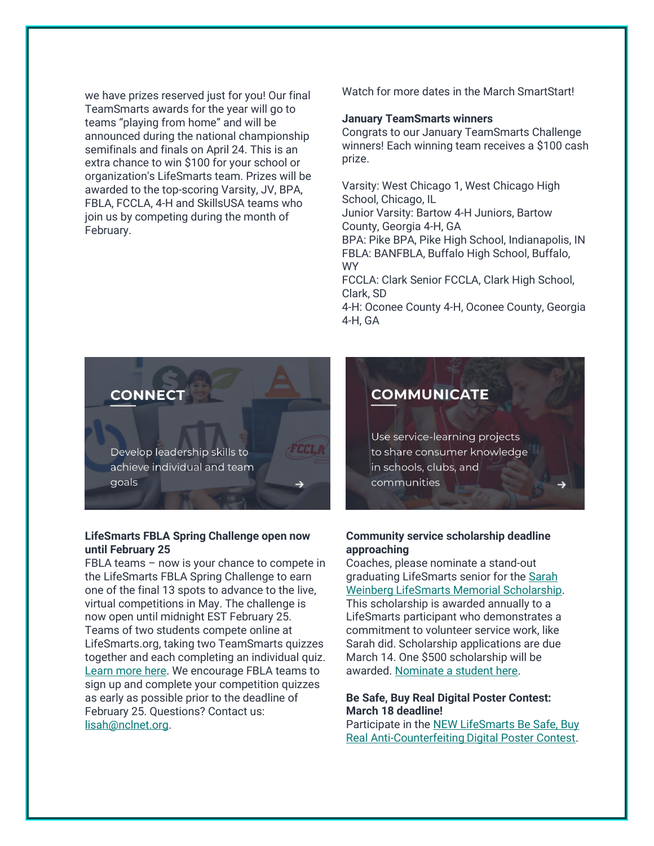we have prizes reserved just for you! Our final TeamSmarts awards for the year will go to teams "playing from home" and will be announced during the national championship semifinals and finals on April 24. This is an extra chance to win \$100 for your school or organization's LifeSmarts team. Prizes will be awarded to the top-scoring Varsity, JV, BPA, FBLA, FCCLA, 4-H and SkillsUSA teams who join us by competing during the month of February.

Watch for more dates in the March SmartStart!

#### **January TeamSmarts winners**

Congrats to our January TeamSmarts Challenge winners! Each winning team receives a \$100 cash prize.

Varsity: West Chicago 1, West Chicago High School, Chicago, IL

Junior Varsity: Bartow 4-H Juniors, Bartow County, Georgia 4-H, GA

BPA: Pike BPA, Pike High School, Indianapolis, IN FBLA: BANFBLA, Buffalo High School, Buffalo, WY

FCCLA: Clark Senior FCCLA, Clark High School, Clark, SD

4-H: Oconee County 4-H, Oconee County, Georgia 4-H, GA



Develop leadership skills to achieve individual and team qoals

# **LifeSmarts FBLA Spring Challenge open now until February 25**

**SHNA** 

FBLA teams – now is your chance to compete in the LifeSmarts FBLA Spring Challenge to earn one of the final 13 spots to advance to the live, virtual competitions in May. The challenge is now open until midnight EST February 25. Teams of two students compete online at LifeSmarts.org, taking two TeamSmarts quizzes together and each completing an individual quiz. [Learn more here.](https://nam12.safelinks.protection.outlook.com/?url=https%3A%2F%2Fncl.lt.acemlnb.com%2FProd%2Flink-tracker%3FredirectUrl%3DaHR0cHMlM0ElMkYlMkZsaWZlc21hcnRzLm9yZyUyRmZibGElMkY%3D%26sig%3DH81qCfoenwbWf7wayPM3a4TcQ4F4G2M2UJKp1zNM4Vfk%26iat%3D1643729462%26a%3D%257C%257C650144105%257C%257C%26account%3Dncl.activehosted.com%26email%3DeYbL1xaVtEJR%252BpKpLRuB76yBgpvWDYICuRoV0Noifuk%253D%26s%3D710641c9b141b6cd453a904ecc82e258%26i%3D212A219A1A2650&data=04%7C01%7Ccherylv%40nclnet.org%7C84e2bb9202db40ceedd208d9e597e1a2%7C4e1d2f3fec00459892401b9071ab6582%7C1%7C1%7C637793262771261345%7CUnknown%7CTWFpbGZsb3d8eyJWIjoiMC4wLjAwMDAiLCJQIjoiV2luMzIiLCJBTiI6Ik1haWwiLCJXVCI6Mn0%3D%7C3000&sdata=97Qirf8KRtRrLoCW0VZzumDnAcZnPExZ0Zk7duh7LjE%3D&reserved=0) We encourage FBLA teams to sign up and complete your competition quizzes as early as possible prior to the deadline of February 25. Questions? Contact us: [lisah@nclnet.org.](mailto:lisah@nclnet.org)

# **COMMUNICATE**

Use service-learning projects to share consumer knowledge in schools, clubs, and communities

# **Community service scholarship deadline approaching**

Coaches, please nominate a stand-out graduating LifeSmarts senior for the [Sarah](https://nam12.safelinks.protection.outlook.com/?url=https%3A%2F%2Fncl.lt.acemlnb.com%2FProd%2Flink-tracker%3FredirectUrl%3DaHR0cHMlM0ElMkYlMkZsaWZlc21hcnRzLm9yZyUyRnNhcmFoJTJG%26sig%3DM6C2zKWaiL3gmU8gtDnjnSguFEkqGPZAqw4tCk3tLSk%26iat%3D1643729462%26a%3D%257C%257C650144105%257C%257C%26account%3Dncl.activehosted.com%26email%3DeYbL1xaVtEJR%252BpKpLRuB76yBgpvWDYICuRoV0Noifuk%253D%26s%3D710641c9b141b6cd453a904ecc82e258%26i%3D212A219A1A2677&data=04%7C01%7Ccherylv%40nclnet.org%7C84e2bb9202db40ceedd208d9e597e1a2%7C4e1d2f3fec00459892401b9071ab6582%7C1%7C1%7C637793262771417565%7CUnknown%7CTWFpbGZsb3d8eyJWIjoiMC4wLjAwMDAiLCJQIjoiV2luMzIiLCJBTiI6Ik1haWwiLCJXVCI6Mn0%3D%7C3000&sdata=LLJaWRdrSBFT6YPaDHoHRlJ1I3GMDFljFtRNC47xbJY%3D&reserved=0)  [Weinberg LifeSmarts Memorial Scholarship.](https://nam12.safelinks.protection.outlook.com/?url=https%3A%2F%2Fncl.lt.acemlnb.com%2FProd%2Flink-tracker%3FredirectUrl%3DaHR0cHMlM0ElMkYlMkZsaWZlc21hcnRzLm9yZyUyRnNhcmFoJTJG%26sig%3DM6C2zKWaiL3gmU8gtDnjnSguFEkqGPZAqw4tCk3tLSk%26iat%3D1643729462%26a%3D%257C%257C650144105%257C%257C%26account%3Dncl.activehosted.com%26email%3DeYbL1xaVtEJR%252BpKpLRuB76yBgpvWDYICuRoV0Noifuk%253D%26s%3D710641c9b141b6cd453a904ecc82e258%26i%3D212A219A1A2677&data=04%7C01%7Ccherylv%40nclnet.org%7C84e2bb9202db40ceedd208d9e597e1a2%7C4e1d2f3fec00459892401b9071ab6582%7C1%7C1%7C637793262771417565%7CUnknown%7CTWFpbGZsb3d8eyJWIjoiMC4wLjAwMDAiLCJQIjoiV2luMzIiLCJBTiI6Ik1haWwiLCJXVCI6Mn0%3D%7C3000&sdata=LLJaWRdrSBFT6YPaDHoHRlJ1I3GMDFljFtRNC47xbJY%3D&reserved=0) This scholarship is awarded annually to a LifeSmarts participant who demonstrates a commitment to volunteer service work, like Sarah did. Scholarship applications are due March 14. One \$500 scholarship will be awarded. [Nominate a student here.](https://nam12.safelinks.protection.outlook.com/?url=https%3A%2F%2Fncl.lt.acemlnb.com%2FProd%2Flink-tracker%3FredirectUrl%3DaHR0cHMlM0ElMkYlMkZsaWZlc21hcnRzLm9yZyUyRnNhcmFoJTJGc2FyYWgtd2VpbmJlcmctbGlmZXNtYXJ0cy1tZW1vcmlhbC1zY2hvbGFyc2hpcC1hcHBsaWNhdGlvbiUyRg%3D%3D%26sig%3D5QRifPfj2sykin4W78YTzsYwP9fcH7SEpb7Et7PHxURP%26iat%3D1643729462%26a%3D%257C%257C650144105%257C%257C%26account%3Dncl.activehosted.com%26email%3DeYbL1xaVtEJR%252BpKpLRuB76yBgpvWDYICuRoV0Noifuk%253D%26s%3D710641c9b141b6cd453a904ecc82e258%26i%3D212A219A1A2658&data=04%7C01%7Ccherylv%40nclnet.org%7C84e2bb9202db40ceedd208d9e597e1a2%7C4e1d2f3fec00459892401b9071ab6582%7C1%7C1%7C637793262771417565%7CUnknown%7CTWFpbGZsb3d8eyJWIjoiMC4wLjAwMDAiLCJQIjoiV2luMzIiLCJBTiI6Ik1haWwiLCJXVCI6Mn0%3D%7C3000&sdata=zp5D4KPsF6rq8uQBdU649VjN90dvCLU85HofJFZL2aw%3D&reserved=0)

#### **Be Safe, Buy Real Digital Poster Contest: March 18 deadline!**

Participate in th[e NEW LifeSmarts Be Safe, Buy](https://nam12.safelinks.protection.outlook.com/?url=https%3A%2F%2Fncl.lt.acemlnb.com%2FProd%2Flink-tracker%3FredirectUrl%3DaHR0cHMlM0ElMkYlMkZsaWZlc21hcnRzLm9yZyUyRmxpZmVzbWFydHMtYmUtc2FmZS1idXktcmVhbC1wb3N0ZXItY29udGVzdCUyRg%3D%3D%26sig%3DHtWQQCi6NqjECeEdhg3CQw6pescGn7qrjeYjhwvqaKqe%26iat%3D1643729462%26a%3D%257C%257C650144105%257C%257C%26account%3Dncl.activehosted.com%26email%3DeYbL1xaVtEJR%252BpKpLRuB76yBgpvWDYICuRoV0Noifuk%253D%26s%3D710641c9b141b6cd453a904ecc82e258%26i%3D212A219A1A2659&data=04%7C01%7Ccherylv%40nclnet.org%7C84e2bb9202db40ceedd208d9e597e1a2%7C4e1d2f3fec00459892401b9071ab6582%7C1%7C1%7C637793262771417565%7CUnknown%7CTWFpbGZsb3d8eyJWIjoiMC4wLjAwMDAiLCJQIjoiV2luMzIiLCJBTiI6Ik1haWwiLCJXVCI6Mn0%3D%7C3000&sdata=yue0S2%2F6EQccvIRcDNF6PIMkhnkh7%2FDY0pl1QFjs3eU%3D&reserved=0)  [Real Anti-Counterfeiting](https://nam12.safelinks.protection.outlook.com/?url=https%3A%2F%2Fncl.lt.acemlnb.com%2FProd%2Flink-tracker%3FredirectUrl%3DaHR0cHMlM0ElMkYlMkZsaWZlc21hcnRzLm9yZyUyRmxpZmVzbWFydHMtYmUtc2FmZS1idXktcmVhbC1wb3N0ZXItY29udGVzdCUyRg%3D%3D%26sig%3DHtWQQCi6NqjECeEdhg3CQw6pescGn7qrjeYjhwvqaKqe%26iat%3D1643729462%26a%3D%257C%257C650144105%257C%257C%26account%3Dncl.activehosted.com%26email%3DeYbL1xaVtEJR%252BpKpLRuB76yBgpvWDYICuRoV0Noifuk%253D%26s%3D710641c9b141b6cd453a904ecc82e258%26i%3D212A219A1A2659&data=04%7C01%7Ccherylv%40nclnet.org%7C84e2bb9202db40ceedd208d9e597e1a2%7C4e1d2f3fec00459892401b9071ab6582%7C1%7C1%7C637793262771417565%7CUnknown%7CTWFpbGZsb3d8eyJWIjoiMC4wLjAwMDAiLCJQIjoiV2luMzIiLCJBTiI6Ik1haWwiLCJXVCI6Mn0%3D%7C3000&sdata=yue0S2%2F6EQccvIRcDNF6PIMkhnkh7%2FDY0pl1QFjs3eU%3D&reserved=0) Digital Poster Contest.